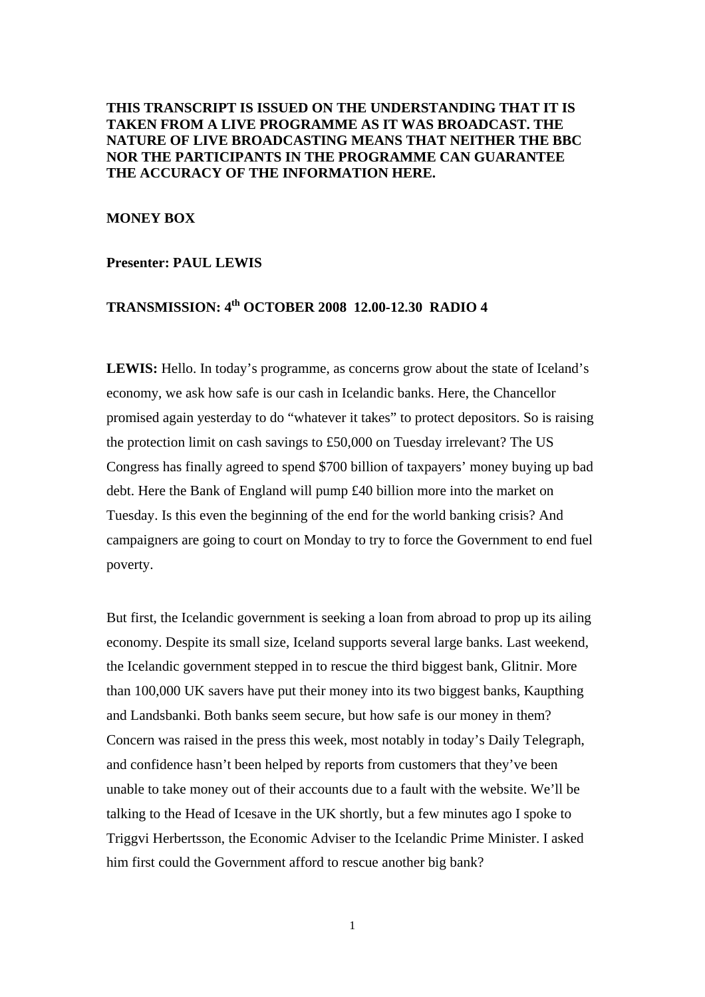## **THIS TRANSCRIPT IS ISSUED ON THE UNDERSTANDING THAT IT IS TAKEN FROM A LIVE PROGRAMME AS IT WAS BROADCAST. THE NATURE OF LIVE BROADCASTING MEANS THAT NEITHER THE BBC NOR THE PARTICIPANTS IN THE PROGRAMME CAN GUARANTEE THE ACCURACY OF THE INFORMATION HERE.**

## **MONEY BOX**

#### **Presenter: PAUL LEWIS**

# **TRANSMISSION: 4th OCTOBER 2008 12.00-12.30 RADIO 4**

LEWIS: Hello. In today's programme, as concerns grow about the state of Iceland's economy, we ask how safe is our cash in Icelandic banks. Here, the Chancellor promised again yesterday to do "whatever it takes" to protect depositors. So is raising the protection limit on cash savings to £50,000 on Tuesday irrelevant? The US Congress has finally agreed to spend \$700 billion of taxpayers' money buying up bad debt. Here the Bank of England will pump £40 billion more into the market on Tuesday. Is this even the beginning of the end for the world banking crisis? And campaigners are going to court on Monday to try to force the Government to end fuel poverty.

But first, the Icelandic government is seeking a loan from abroad to prop up its ailing economy. Despite its small size, Iceland supports several large banks. Last weekend, the Icelandic government stepped in to rescue the third biggest bank, Glitnir. More than 100,000 UK savers have put their money into its two biggest banks, Kaupthing and Landsbanki. Both banks seem secure, but how safe is our money in them? Concern was raised in the press this week, most notably in today's Daily Telegraph, and confidence hasn't been helped by reports from customers that they've been unable to take money out of their accounts due to a fault with the website. We'll be talking to the Head of Icesave in the UK shortly, but a few minutes ago I spoke to Triggvi Herbertsson, the Economic Adviser to the Icelandic Prime Minister. I asked him first could the Government afford to rescue another big bank?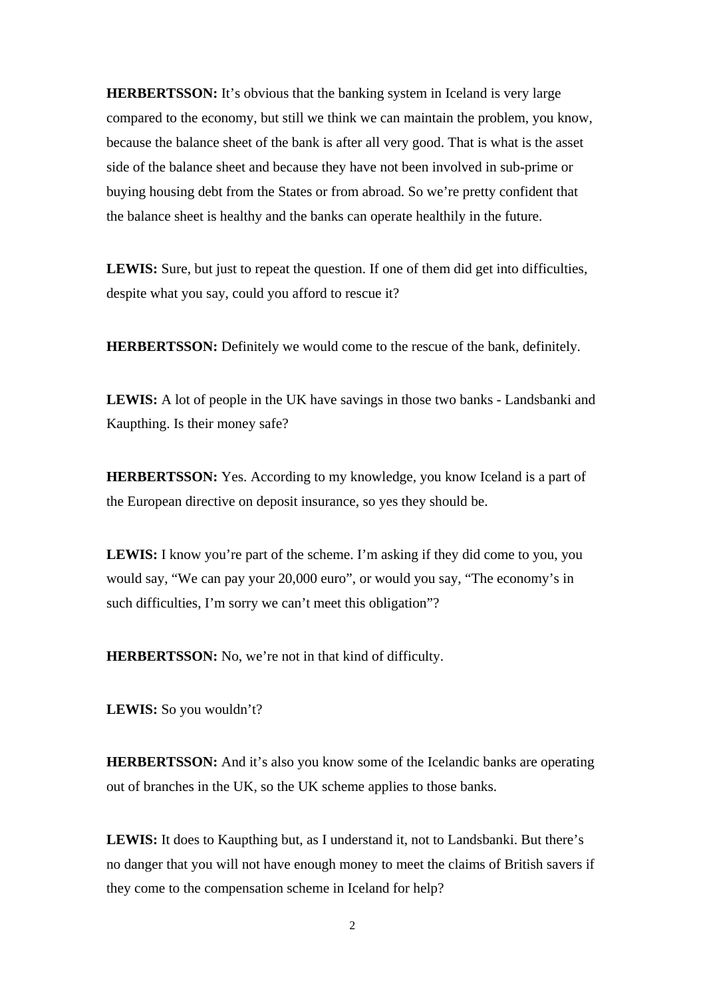**HERBERTSSON:** It's obvious that the banking system in Iceland is very large compared to the economy, but still we think we can maintain the problem, you know, because the balance sheet of the bank is after all very good. That is what is the asset side of the balance sheet and because they have not been involved in sub-prime or buying housing debt from the States or from abroad. So we're pretty confident that the balance sheet is healthy and the banks can operate healthily in the future.

LEWIS: Sure, but just to repeat the question. If one of them did get into difficulties, despite what you say, could you afford to rescue it?

**HERBERTSSON:** Definitely we would come to the rescue of the bank, definitely.

**LEWIS:** A lot of people in the UK have savings in those two banks - Landsbanki and Kaupthing. Is their money safe?

**HERBERTSSON:** Yes. According to my knowledge, you know Iceland is a part of the European directive on deposit insurance, so yes they should be.

**LEWIS:** I know you're part of the scheme. I'm asking if they did come to you, you would say, "We can pay your 20,000 euro", or would you say, "The economy's in such difficulties, I'm sorry we can't meet this obligation"?

**HERBERTSSON:** No, we're not in that kind of difficulty.

**LEWIS:** So you wouldn't?

**HERBERTSSON:** And it's also you know some of the Icelandic banks are operating out of branches in the UK, so the UK scheme applies to those banks.

**LEWIS:** It does to Kaupthing but, as I understand it, not to Landsbanki. But there's no danger that you will not have enough money to meet the claims of British savers if they come to the compensation scheme in Iceland for help?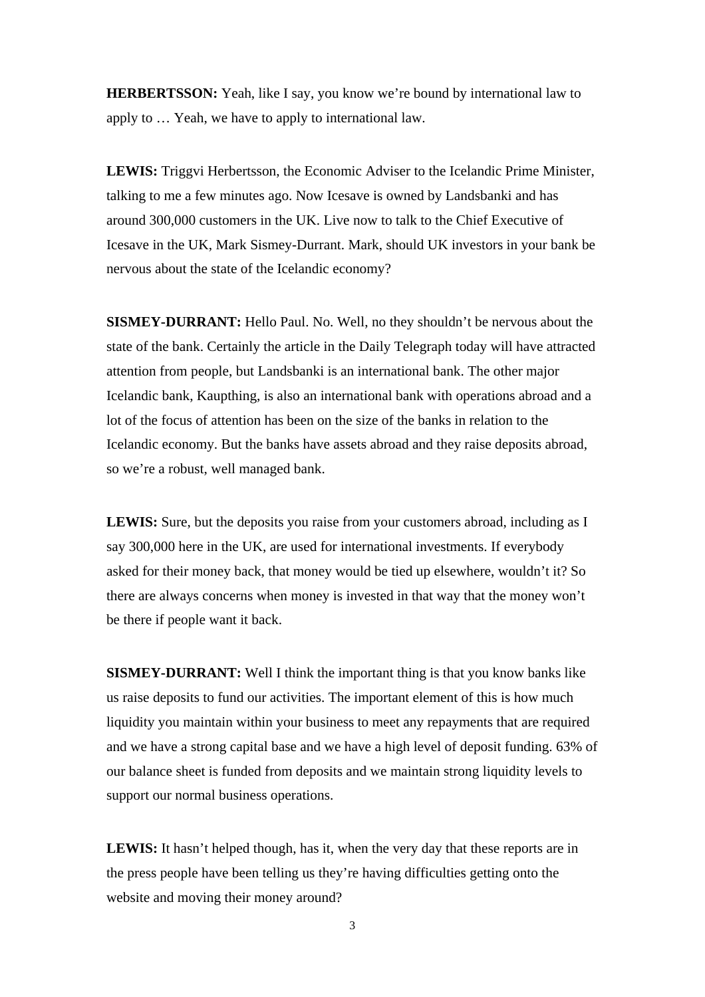**HERBERTSSON:** Yeah, like I say, you know we're bound by international law to apply to … Yeah, we have to apply to international law.

**LEWIS:** Triggvi Herbertsson, the Economic Adviser to the Icelandic Prime Minister, talking to me a few minutes ago. Now Icesave is owned by Landsbanki and has around 300,000 customers in the UK. Live now to talk to the Chief Executive of Icesave in the UK, Mark Sismey-Durrant. Mark, should UK investors in your bank be nervous about the state of the Icelandic economy?

**SISMEY-DURRANT:** Hello Paul. No. Well, no they shouldn't be nervous about the state of the bank. Certainly the article in the Daily Telegraph today will have attracted attention from people, but Landsbanki is an international bank. The other major Icelandic bank, Kaupthing, is also an international bank with operations abroad and a lot of the focus of attention has been on the size of the banks in relation to the Icelandic economy. But the banks have assets abroad and they raise deposits abroad, so we're a robust, well managed bank.

**LEWIS:** Sure, but the deposits you raise from your customers abroad, including as I say 300,000 here in the UK, are used for international investments. If everybody asked for their money back, that money would be tied up elsewhere, wouldn't it? So there are always concerns when money is invested in that way that the money won't be there if people want it back.

**SISMEY-DURRANT:** Well I think the important thing is that you know banks like us raise deposits to fund our activities. The important element of this is how much liquidity you maintain within your business to meet any repayments that are required and we have a strong capital base and we have a high level of deposit funding. 63% of our balance sheet is funded from deposits and we maintain strong liquidity levels to support our normal business operations.

LEWIS: It hasn't helped though, has it, when the very day that these reports are in the press people have been telling us they're having difficulties getting onto the website and moving their money around?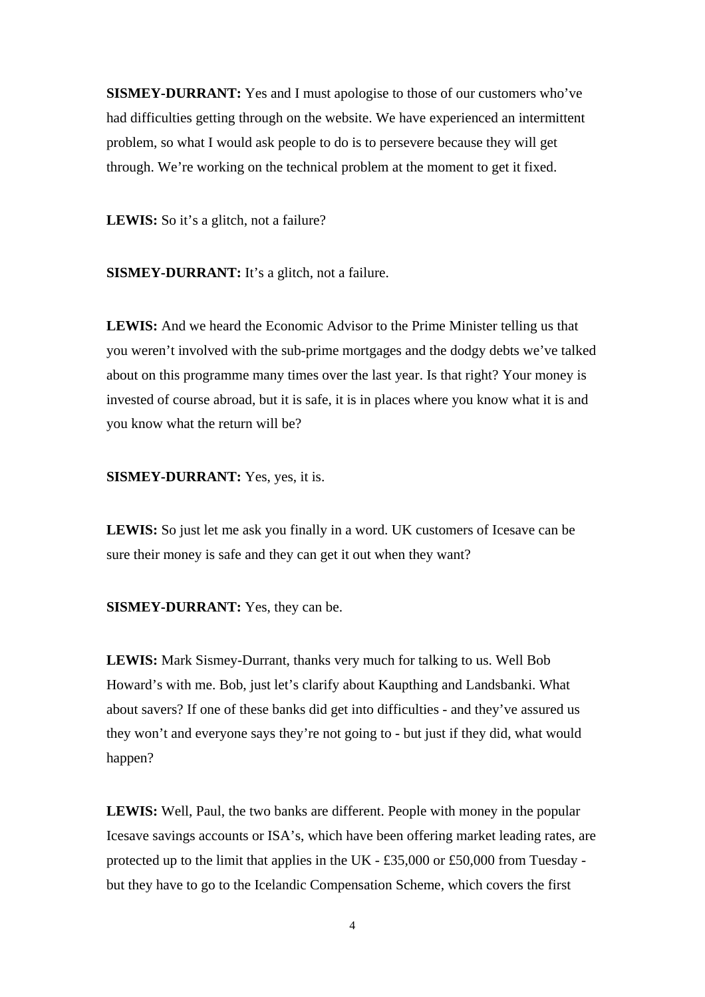**SISMEY-DURRANT:** Yes and I must apologise to those of our customers who've had difficulties getting through on the website. We have experienced an intermittent problem, so what I would ask people to do is to persevere because they will get through. We're working on the technical problem at the moment to get it fixed.

LEWIS: So it's a glitch, not a failure?

**SISMEY-DURRANT:** It's a glitch, not a failure.

**LEWIS:** And we heard the Economic Advisor to the Prime Minister telling us that you weren't involved with the sub-prime mortgages and the dodgy debts we've talked about on this programme many times over the last year. Is that right? Your money is invested of course abroad, but it is safe, it is in places where you know what it is and you know what the return will be?

### **SISMEY-DURRANT:** Yes, yes, it is.

**LEWIS:** So just let me ask you finally in a word. UK customers of Icesave can be sure their money is safe and they can get it out when they want?

**SISMEY-DURRANT:** Yes, they can be.

**LEWIS:** Mark Sismey-Durrant, thanks very much for talking to us. Well Bob Howard's with me. Bob, just let's clarify about Kaupthing and Landsbanki. What about savers? If one of these banks did get into difficulties - and they've assured us they won't and everyone says they're not going to - but just if they did, what would happen?

**LEWIS:** Well, Paul, the two banks are different. People with money in the popular Icesave savings accounts or ISA's, which have been offering market leading rates, are protected up to the limit that applies in the UK - £35,000 or £50,000 from Tuesday but they have to go to the Icelandic Compensation Scheme, which covers the first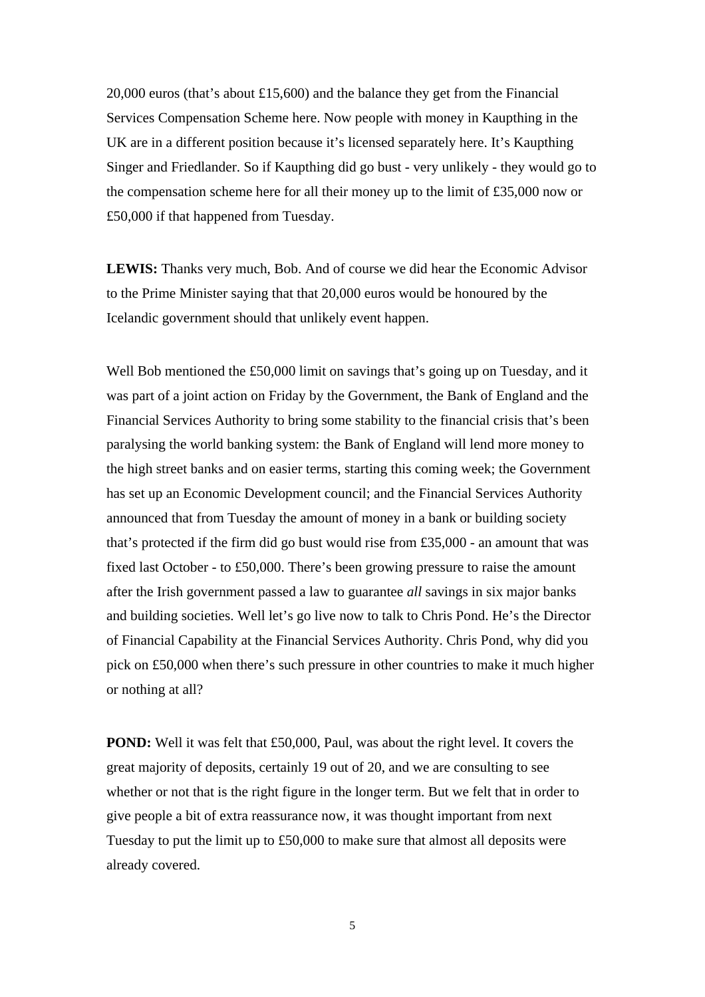20,000 euros (that's about £15,600) and the balance they get from the Financial Services Compensation Scheme here. Now people with money in Kaupthing in the UK are in a different position because it's licensed separately here. It's Kaupthing Singer and Friedlander. So if Kaupthing did go bust - very unlikely - they would go to the compensation scheme here for all their money up to the limit of £35,000 now or £50,000 if that happened from Tuesday.

**LEWIS:** Thanks very much, Bob. And of course we did hear the Economic Advisor to the Prime Minister saying that that 20,000 euros would be honoured by the Icelandic government should that unlikely event happen.

Well Bob mentioned the £50,000 limit on savings that's going up on Tuesday, and it was part of a joint action on Friday by the Government, the Bank of England and the Financial Services Authority to bring some stability to the financial crisis that's been paralysing the world banking system: the Bank of England will lend more money to the high street banks and on easier terms, starting this coming week; the Government has set up an Economic Development council; and the Financial Services Authority announced that from Tuesday the amount of money in a bank or building society that's protected if the firm did go bust would rise from £35,000 - an amount that was fixed last October - to £50,000. There's been growing pressure to raise the amount after the Irish government passed a law to guarantee *all* savings in six major banks and building societies. Well let's go live now to talk to Chris Pond. He's the Director of Financial Capability at the Financial Services Authority. Chris Pond, why did you pick on £50,000 when there's such pressure in other countries to make it much higher or nothing at all?

**POND:** Well it was felt that £50,000, Paul, was about the right level. It covers the great majority of deposits, certainly 19 out of 20, and we are consulting to see whether or not that is the right figure in the longer term. But we felt that in order to give people a bit of extra reassurance now, it was thought important from next Tuesday to put the limit up to £50,000 to make sure that almost all deposits were already covered.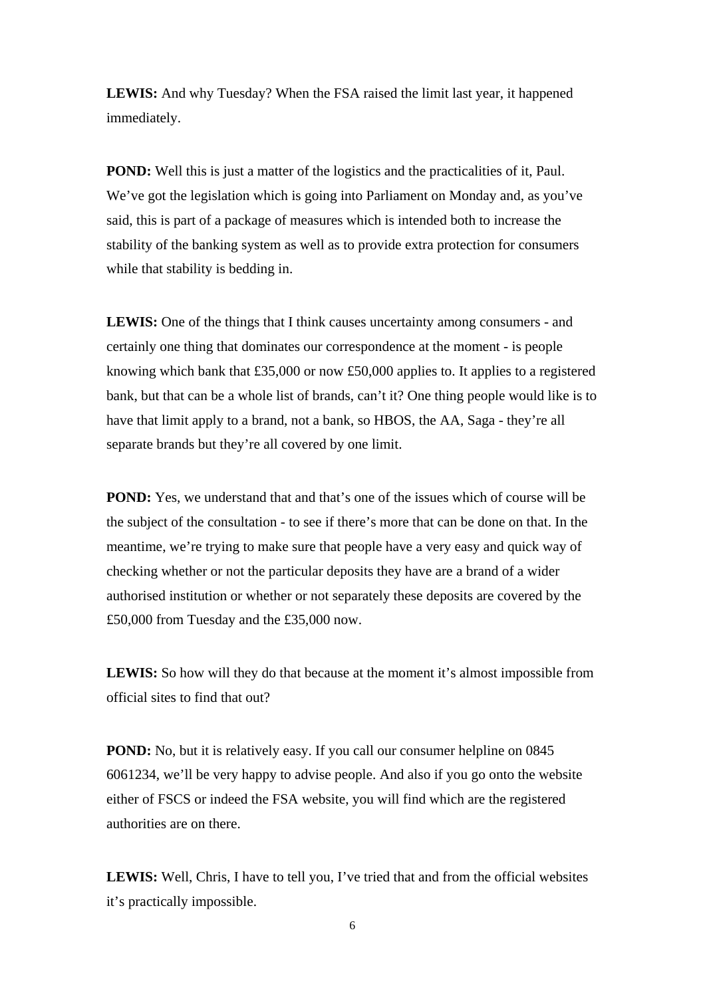**LEWIS:** And why Tuesday? When the FSA raised the limit last year, it happened immediately.

**POND:** Well this is just a matter of the logistics and the practicalities of it, Paul. We've got the legislation which is going into Parliament on Monday and, as you've said, this is part of a package of measures which is intended both to increase the stability of the banking system as well as to provide extra protection for consumers while that stability is bedding in.

**LEWIS:** One of the things that I think causes uncertainty among consumers - and certainly one thing that dominates our correspondence at the moment - is people knowing which bank that £35,000 or now £50,000 applies to. It applies to a registered bank, but that can be a whole list of brands, can't it? One thing people would like is to have that limit apply to a brand, not a bank, so HBOS, the AA, Saga - they're all separate brands but they're all covered by one limit.

**POND:** Yes, we understand that and that's one of the issues which of course will be the subject of the consultation - to see if there's more that can be done on that. In the meantime, we're trying to make sure that people have a very easy and quick way of checking whether or not the particular deposits they have are a brand of a wider authorised institution or whether or not separately these deposits are covered by the £50,000 from Tuesday and the £35,000 now.

LEWIS: So how will they do that because at the moment it's almost impossible from official sites to find that out?

**POND:** No, but it is relatively easy. If you call our consumer helpline on 0845 6061234, we'll be very happy to advise people. And also if you go onto the website either of FSCS or indeed the FSA website, you will find which are the registered authorities are on there.

**LEWIS:** Well, Chris, I have to tell you, I've tried that and from the official websites it's practically impossible.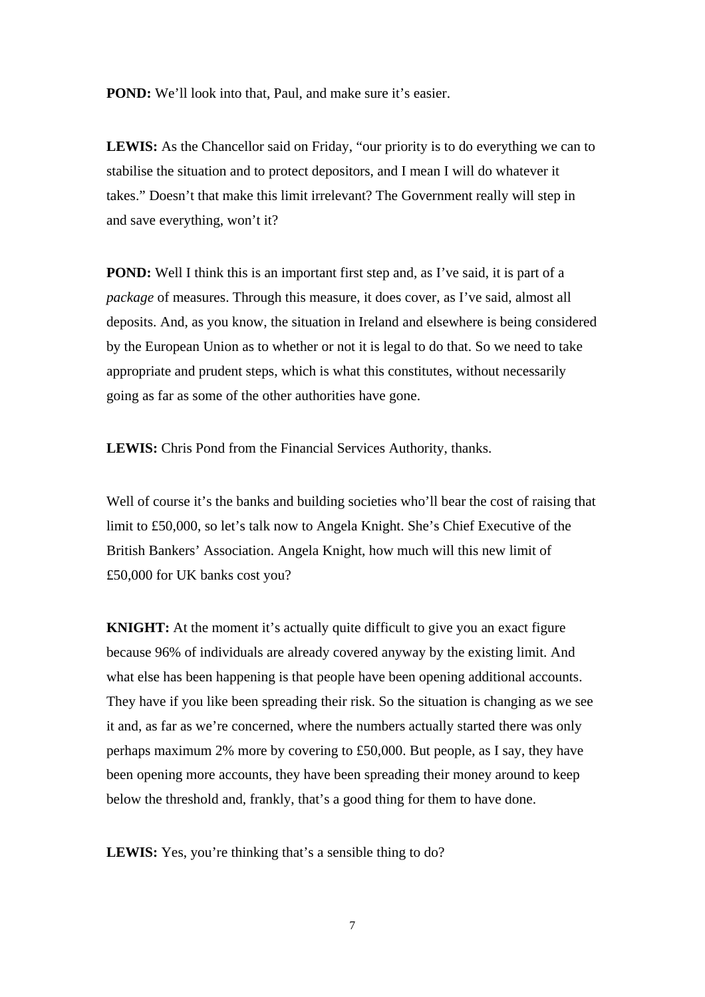**POND:** We'll look into that, Paul, and make sure it's easier.

LEWIS: As the Chancellor said on Friday, "our priority is to do everything we can to stabilise the situation and to protect depositors, and I mean I will do whatever it takes." Doesn't that make this limit irrelevant? The Government really will step in and save everything, won't it?

**POND:** Well I think this is an important first step and, as I've said, it is part of a *package* of measures. Through this measure, it does cover, as I've said, almost all deposits. And, as you know, the situation in Ireland and elsewhere is being considered by the European Union as to whether or not it is legal to do that. So we need to take appropriate and prudent steps, which is what this constitutes, without necessarily going as far as some of the other authorities have gone.

**LEWIS:** Chris Pond from the Financial Services Authority, thanks.

Well of course it's the banks and building societies who'll bear the cost of raising that limit to £50,000, so let's talk now to Angela Knight. She's Chief Executive of the British Bankers' Association. Angela Knight, how much will this new limit of £50,000 for UK banks cost you?

**KNIGHT:** At the moment it's actually quite difficult to give you an exact figure because 96% of individuals are already covered anyway by the existing limit. And what else has been happening is that people have been opening additional accounts. They have if you like been spreading their risk. So the situation is changing as we see it and, as far as we're concerned, where the numbers actually started there was only perhaps maximum 2% more by covering to £50,000. But people, as I say, they have been opening more accounts, they have been spreading their money around to keep below the threshold and, frankly, that's a good thing for them to have done.

LEWIS: Yes, you're thinking that's a sensible thing to do?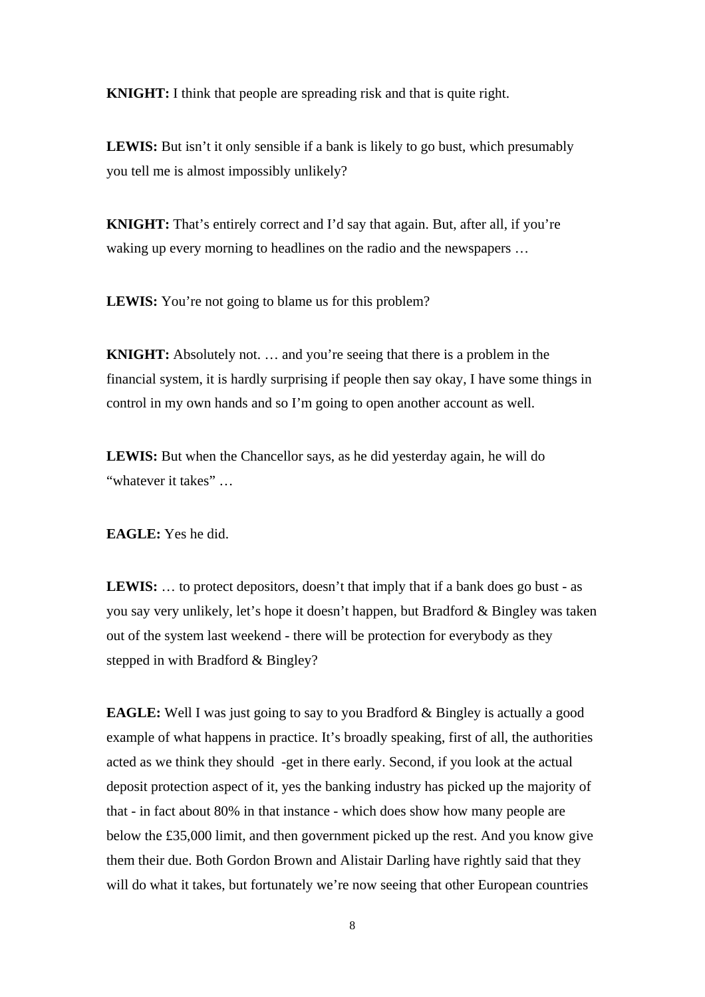**KNIGHT:** I think that people are spreading risk and that is quite right.

LEWIS: But isn't it only sensible if a bank is likely to go bust, which presumably you tell me is almost impossibly unlikely?

**KNIGHT:** That's entirely correct and I'd say that again. But, after all, if you're waking up every morning to headlines on the radio and the newspapers ...

LEWIS: You're not going to blame us for this problem?

**KNIGHT:** Absolutely not. ... and you're seeing that there is a problem in the financial system, it is hardly surprising if people then say okay, I have some things in control in my own hands and so I'm going to open another account as well.

LEWIS: But when the Chancellor says, as he did yesterday again, he will do "whatever it takes" …

**EAGLE:** Yes he did.

**LEWIS:** … to protect depositors, doesn't that imply that if a bank does go bust - as you say very unlikely, let's hope it doesn't happen, but Bradford & Bingley was taken out of the system last weekend - there will be protection for everybody as they stepped in with Bradford & Bingley?

**EAGLE:** Well I was just going to say to you Bradford & Bingley is actually a good example of what happens in practice. It's broadly speaking, first of all, the authorities acted as we think they should -get in there early. Second, if you look at the actual deposit protection aspect of it, yes the banking industry has picked up the majority of that - in fact about 80% in that instance - which does show how many people are below the £35,000 limit, and then government picked up the rest. And you know give them their due. Both Gordon Brown and Alistair Darling have rightly said that they will do what it takes, but fortunately we're now seeing that other European countries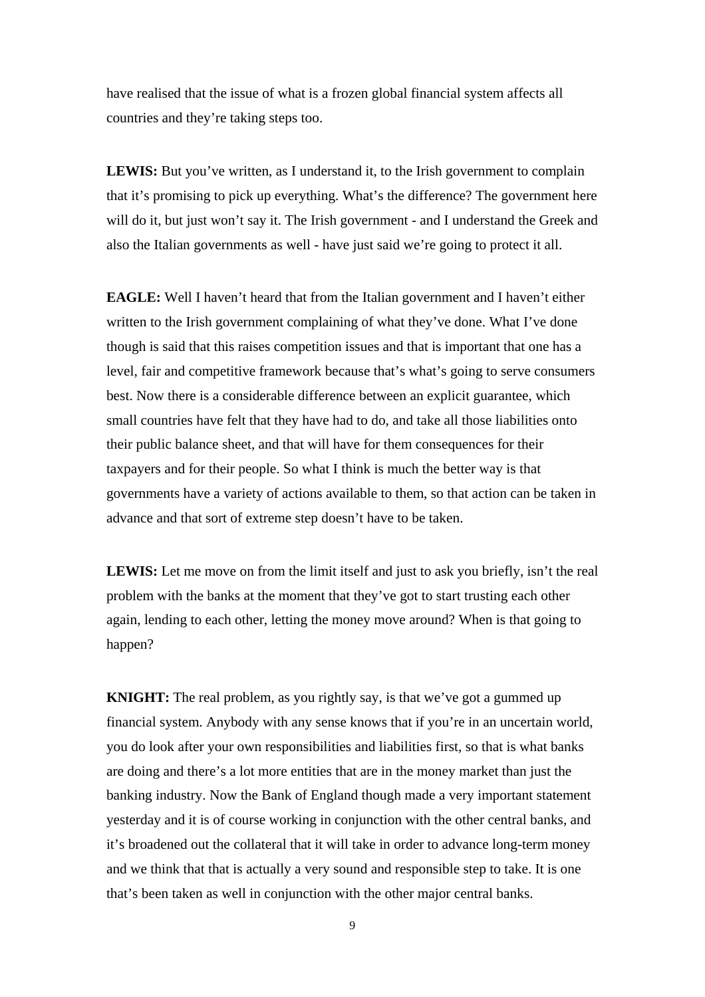have realised that the issue of what is a frozen global financial system affects all countries and they're taking steps too.

LEWIS: But you've written, as I understand it, to the Irish government to complain that it's promising to pick up everything. What's the difference? The government here will do it, but just won't say it. The Irish government - and I understand the Greek and also the Italian governments as well - have just said we're going to protect it all.

**EAGLE:** Well I haven't heard that from the Italian government and I haven't either written to the Irish government complaining of what they've done. What I've done though is said that this raises competition issues and that is important that one has a level, fair and competitive framework because that's what's going to serve consumers best. Now there is a considerable difference between an explicit guarantee, which small countries have felt that they have had to do, and take all those liabilities onto their public balance sheet, and that will have for them consequences for their taxpayers and for their people. So what I think is much the better way is that governments have a variety of actions available to them, so that action can be taken in advance and that sort of extreme step doesn't have to be taken.

LEWIS: Let me move on from the limit itself and just to ask you briefly, isn't the real problem with the banks at the moment that they've got to start trusting each other again, lending to each other, letting the money move around? When is that going to happen?

**KNIGHT:** The real problem, as you rightly say, is that we've got a gummed up financial system. Anybody with any sense knows that if you're in an uncertain world, you do look after your own responsibilities and liabilities first, so that is what banks are doing and there's a lot more entities that are in the money market than just the banking industry. Now the Bank of England though made a very important statement yesterday and it is of course working in conjunction with the other central banks, and it's broadened out the collateral that it will take in order to advance long-term money and we think that that is actually a very sound and responsible step to take. It is one that's been taken as well in conjunction with the other major central banks.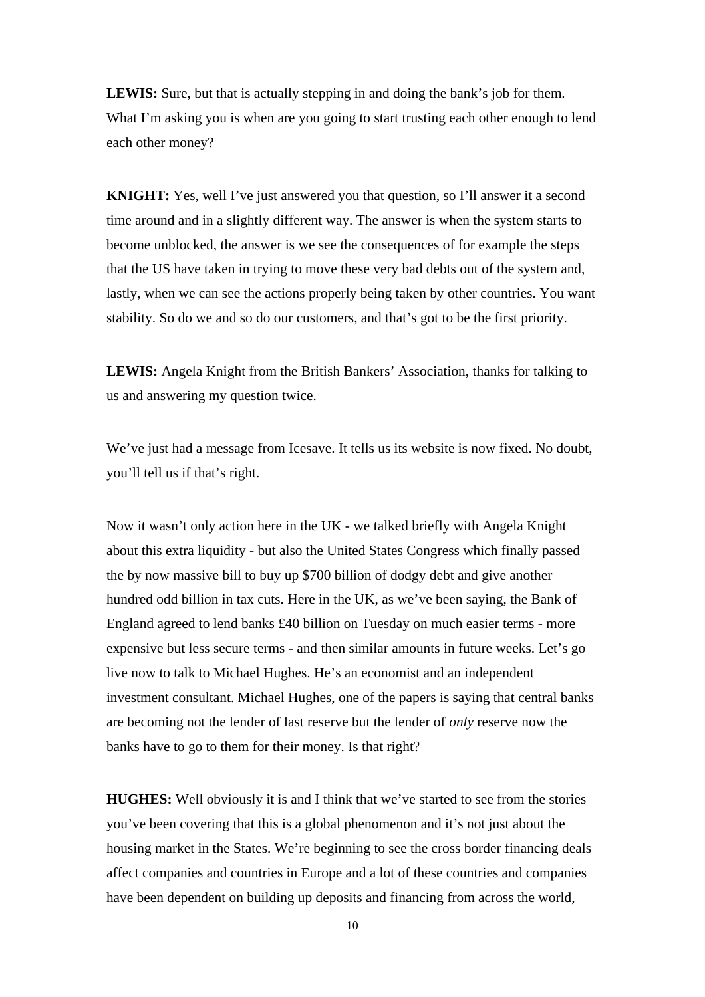**LEWIS:** Sure, but that is actually stepping in and doing the bank's job for them. What I'm asking you is when are you going to start trusting each other enough to lend each other money?

**KNIGHT:** Yes, well I've just answered you that question, so I'll answer it a second time around and in a slightly different way. The answer is when the system starts to become unblocked, the answer is we see the consequences of for example the steps that the US have taken in trying to move these very bad debts out of the system and, lastly, when we can see the actions properly being taken by other countries. You want stability. So do we and so do our customers, and that's got to be the first priority.

**LEWIS:** Angela Knight from the British Bankers' Association, thanks for talking to us and answering my question twice.

We've just had a message from Icesave. It tells us its website is now fixed. No doubt, you'll tell us if that's right.

Now it wasn't only action here in the UK - we talked briefly with Angela Knight about this extra liquidity - but also the United States Congress which finally passed the by now massive bill to buy up \$700 billion of dodgy debt and give another hundred odd billion in tax cuts. Here in the UK, as we've been saying, the Bank of England agreed to lend banks £40 billion on Tuesday on much easier terms - more expensive but less secure terms - and then similar amounts in future weeks. Let's go live now to talk to Michael Hughes. He's an economist and an independent investment consultant. Michael Hughes, one of the papers is saying that central banks are becoming not the lender of last reserve but the lender of *only* reserve now the banks have to go to them for their money. Is that right?

**HUGHES:** Well obviously it is and I think that we've started to see from the stories you've been covering that this is a global phenomenon and it's not just about the housing market in the States. We're beginning to see the cross border financing deals affect companies and countries in Europe and a lot of these countries and companies have been dependent on building up deposits and financing from across the world,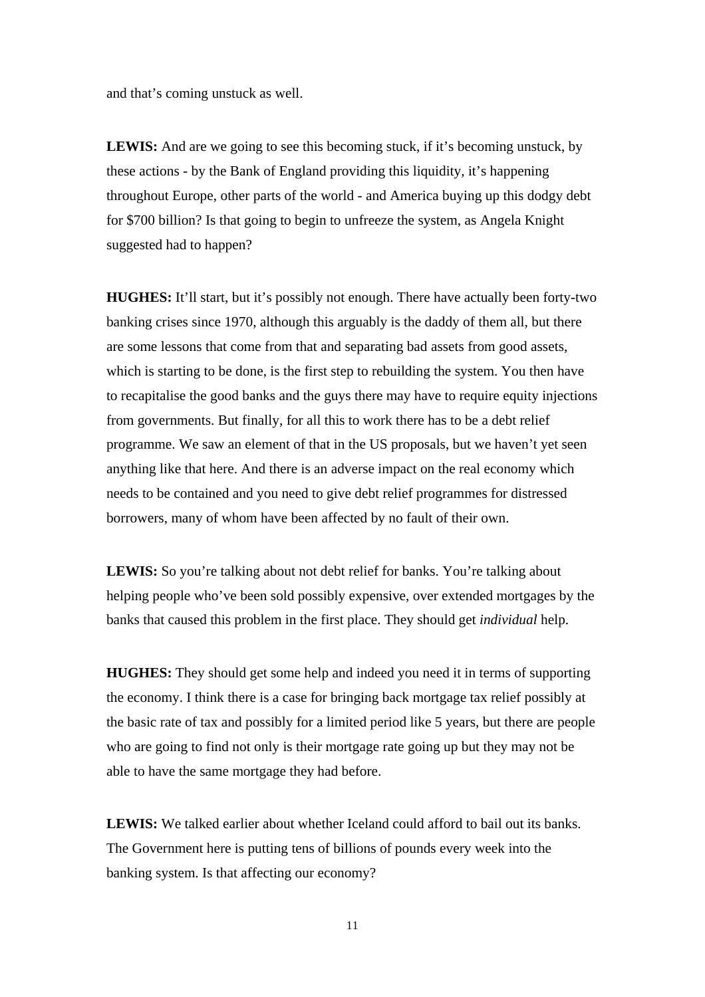and that's coming unstuck as well.

**LEWIS:** And are we going to see this becoming stuck, if it's becoming unstuck, by these actions - by the Bank of England providing this liquidity, it's happening throughout Europe, other parts of the world - and America buying up this dodgy debt for \$700 billion? Is that going to begin to unfreeze the system, as Angela Knight suggested had to happen?

**HUGHES:** It'll start, but it's possibly not enough. There have actually been forty-two banking crises since 1970, although this arguably is the daddy of them all, but there are some lessons that come from that and separating bad assets from good assets, which is starting to be done, is the first step to rebuilding the system. You then have to recapitalise the good banks and the guys there may have to require equity injections from governments. But finally, for all this to work there has to be a debt relief programme. We saw an element of that in the US proposals, but we haven't yet seen anything like that here. And there is an adverse impact on the real economy which needs to be contained and you need to give debt relief programmes for distressed borrowers, many of whom have been affected by no fault of their own.

LEWIS: So you're talking about not debt relief for banks. You're talking about helping people who've been sold possibly expensive, over extended mortgages by the banks that caused this problem in the first place. They should get *individual* help.

**HUGHES:** They should get some help and indeed you need it in terms of supporting the economy. I think there is a case for bringing back mortgage tax relief possibly at the basic rate of tax and possibly for a limited period like 5 years, but there are people who are going to find not only is their mortgage rate going up but they may not be able to have the same mortgage they had before.

**LEWIS:** We talked earlier about whether Iceland could afford to bail out its banks. The Government here is putting tens of billions of pounds every week into the banking system. Is that affecting our economy?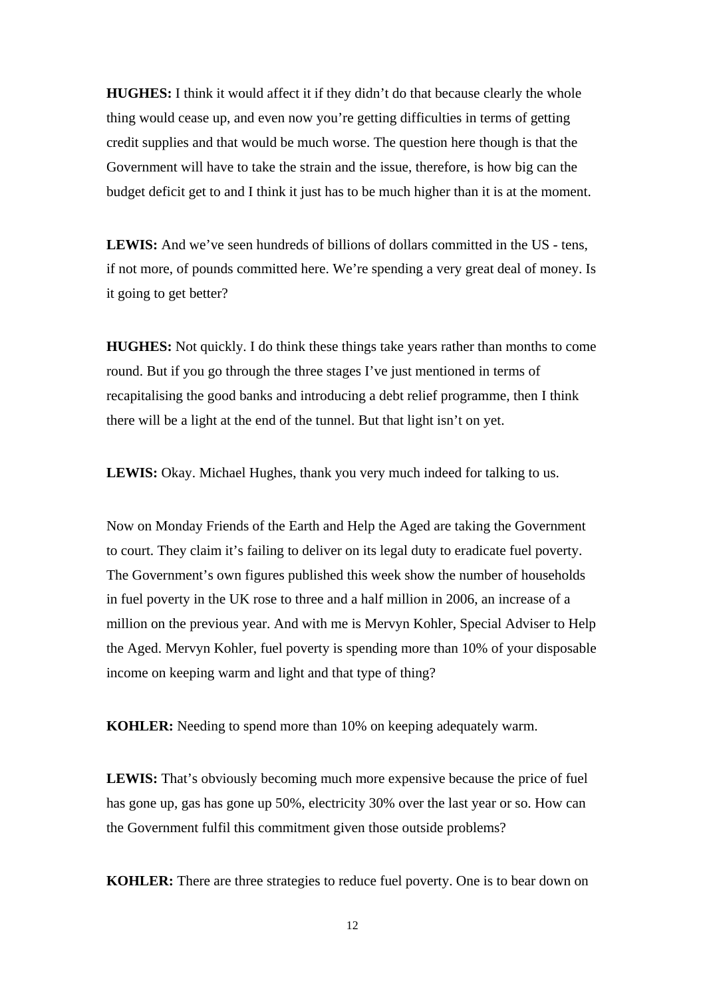**HUGHES:** I think it would affect it if they didn't do that because clearly the whole thing would cease up, and even now you're getting difficulties in terms of getting credit supplies and that would be much worse. The question here though is that the Government will have to take the strain and the issue, therefore, is how big can the budget deficit get to and I think it just has to be much higher than it is at the moment.

**LEWIS:** And we've seen hundreds of billions of dollars committed in the US - tens, if not more, of pounds committed here. We're spending a very great deal of money. Is it going to get better?

**HUGHES:** Not quickly. I do think these things take years rather than months to come round. But if you go through the three stages I've just mentioned in terms of recapitalising the good banks and introducing a debt relief programme, then I think there will be a light at the end of the tunnel. But that light isn't on yet.

**LEWIS:** Okay. Michael Hughes, thank you very much indeed for talking to us.

Now on Monday Friends of the Earth and Help the Aged are taking the Government to court. They claim it's failing to deliver on its legal duty to eradicate fuel poverty. The Government's own figures published this week show the number of households in fuel poverty in the UK rose to three and a half million in 2006, an increase of a million on the previous year. And with me is Mervyn Kohler, Special Adviser to Help the Aged. Mervyn Kohler, fuel poverty is spending more than 10% of your disposable income on keeping warm and light and that type of thing?

**KOHLER:** Needing to spend more than 10% on keeping adequately warm.

LEWIS: That's obviously becoming much more expensive because the price of fuel has gone up, gas has gone up 50%, electricity 30% over the last year or so. How can the Government fulfil this commitment given those outside problems?

**KOHLER:** There are three strategies to reduce fuel poverty. One is to bear down on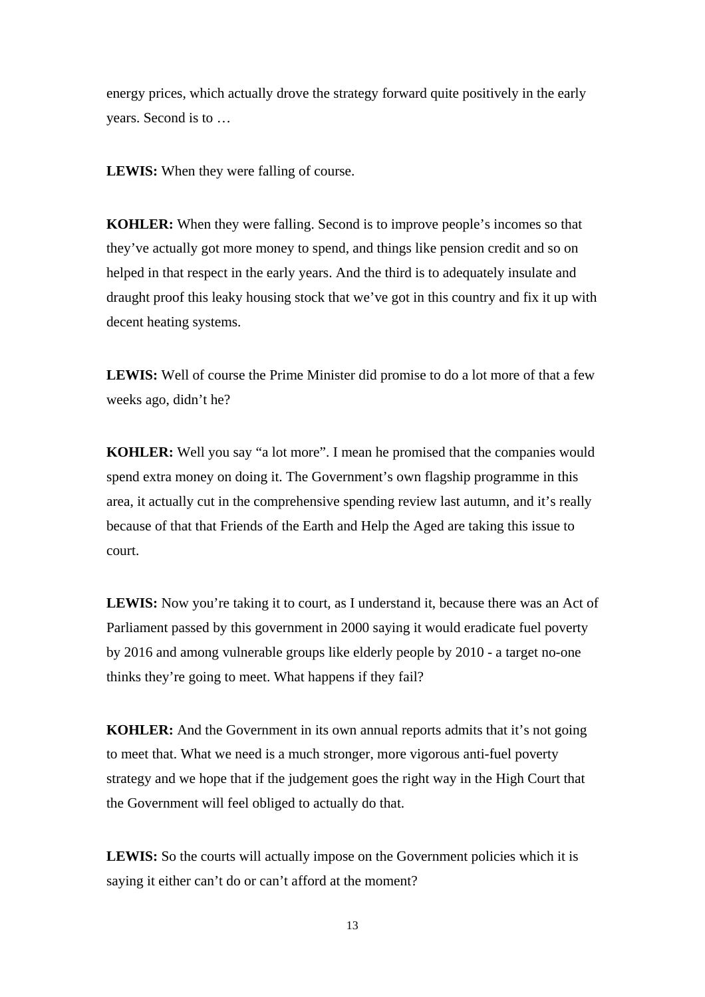energy prices, which actually drove the strategy forward quite positively in the early years. Second is to …

LEWIS: When they were falling of course.

**KOHLER:** When they were falling. Second is to improve people's incomes so that they've actually got more money to spend, and things like pension credit and so on helped in that respect in the early years. And the third is to adequately insulate and draught proof this leaky housing stock that we've got in this country and fix it up with decent heating systems.

**LEWIS:** Well of course the Prime Minister did promise to do a lot more of that a few weeks ago, didn't he?

**KOHLER:** Well you say "a lot more". I mean he promised that the companies would spend extra money on doing it. The Government's own flagship programme in this area, it actually cut in the comprehensive spending review last autumn, and it's really because of that that Friends of the Earth and Help the Aged are taking this issue to court.

LEWIS: Now you're taking it to court, as I understand it, because there was an Act of Parliament passed by this government in 2000 saying it would eradicate fuel poverty by 2016 and among vulnerable groups like elderly people by 2010 - a target no-one thinks they're going to meet. What happens if they fail?

**KOHLER:** And the Government in its own annual reports admits that it's not going to meet that. What we need is a much stronger, more vigorous anti-fuel poverty strategy and we hope that if the judgement goes the right way in the High Court that the Government will feel obliged to actually do that.

**LEWIS:** So the courts will actually impose on the Government policies which it is saying it either can't do or can't afford at the moment?